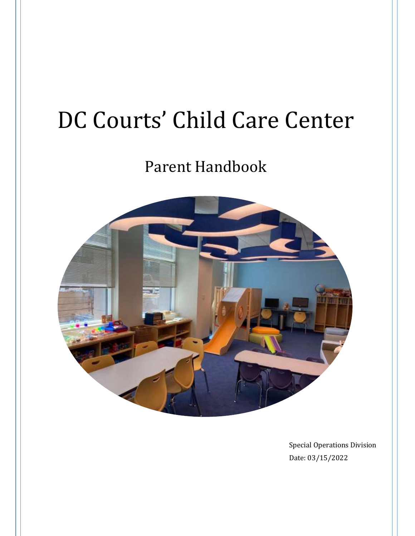# DC Courts' Child Care Center

# Parent Handbook



Special Operations Division Date: 03/15/2022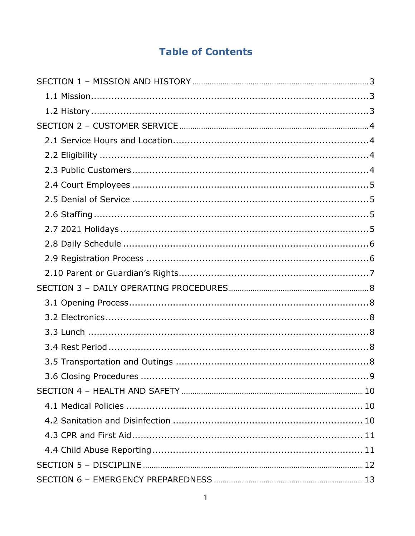# **Table of Contents**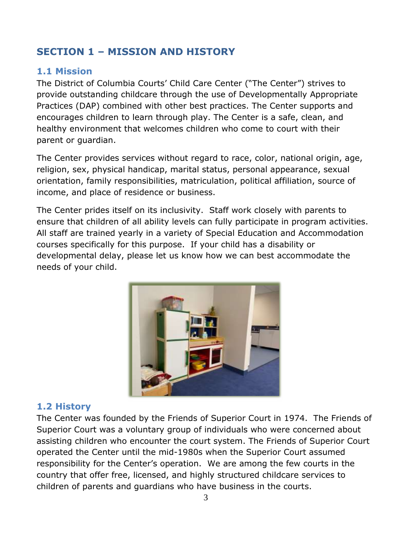# <span id="page-3-0"></span>**SECTION 1 – MISSION AND HISTORY**

#### <span id="page-3-1"></span>**1.1 Mission**

The District of Columbia Courts' Child Care Center ("The Center") strives to provide outstanding childcare through the use of Developmentally Appropriate Practices (DAP) combined with other best practices. The Center supports and encourages children to learn through play. The Center is a safe, clean, and healthy environment that welcomes children who come to court with their parent or guardian.

The Center provides services without regard to race, color, national origin, age, religion, sex, physical handicap, marital status, personal appearance, sexual orientation, family responsibilities, matriculation, political affiliation, source of income, and place of residence or business.

The Center prides itself on its inclusivity. Staff work closely with parents to ensure that children of all ability levels can fully participate in program activities. All staff are trained yearly in a variety of Special Education and Accommodation courses specifically for this purpose. If your child has a disability or developmental delay, please let us know how we can best accommodate the needs of your child.



#### <span id="page-3-2"></span>**1.2 History**

The Center was founded by the Friends of Superior Court in 1974. The Friends of Superior Court was a voluntary group of individuals who were concerned about assisting children who encounter the court system. The Friends of Superior Court operated the Center until the mid-1980s when the Superior Court assumed responsibility for the Center's operation. We are among the few courts in the country that offer free, licensed, and highly structured childcare services to children of parents and guardians who have business in the courts.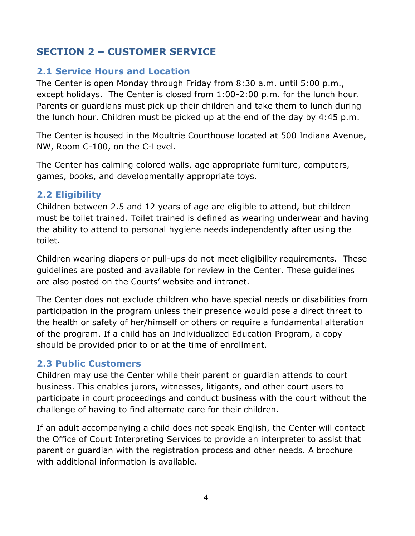# <span id="page-4-0"></span>**SECTION 2 – CUSTOMER SERVICE**

#### <span id="page-4-1"></span>**2.1 Service Hours and Location**

The Center is open Monday through Friday from 8:30 a.m. until 5:00 p.m., except holidays. The Center is closed from 1:00-2:00 p.m. for the lunch hour. Parents or guardians must pick up their children and take them to lunch during the lunch hour. Children must be picked up at the end of the day by 4:45 p.m.

The Center is housed in the Moultrie Courthouse located at 500 Indiana Avenue, NW, Room C-100, on the C-Level.

The Center has calming colored walls, age appropriate furniture, computers, games, books, and developmentally appropriate toys.

#### <span id="page-4-2"></span>**2.2 Eligibility**

Children between 2.5 and 12 years of age are eligible to attend, but children must be toilet trained. Toilet trained is defined as wearing underwear and having the ability to attend to personal hygiene needs independently after using the toilet.

Children wearing diapers or pull-ups do not meet eligibility requirements. These guidelines are posted and available for review in the Center. These guidelines are also posted on the Courts' website and intranet.

The Center does not exclude children who have special needs or disabilities from participation in the program unless their presence would pose a direct threat to the health or safety of her/himself or others or require a fundamental alteration of the program. If a child has an Individualized Education Program, a copy should be provided prior to or at the time of enrollment.

#### <span id="page-4-3"></span>**2.3 Public Customers**

Children may use the Center while their parent or guardian attends to court business. This enables jurors, witnesses, litigants, and other court users to participate in court proceedings and conduct business with the court without the challenge of having to find alternate care for their children.

If an adult accompanying a child does not speak English, the Center will contact the Office of Court Interpreting Services to provide an interpreter to assist that parent or guardian with the registration process and other needs. A brochure with additional information is available.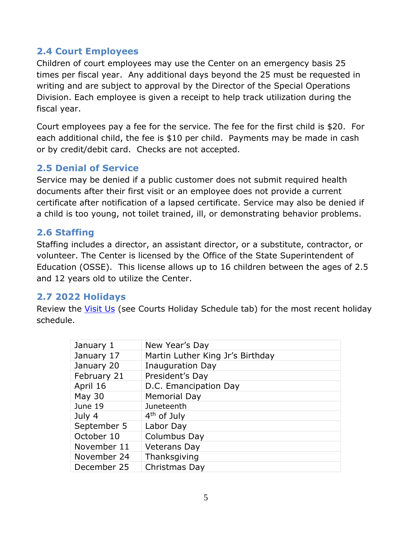#### <span id="page-5-0"></span>**2.4 Court Employees**

Children of court employees may use the Center on an emergency basis 25 times per fiscal year. Any additional days beyond the 25 must be requested in writing and are subject to approval by the Director of the Special Operations Division. Each employee is given a receipt to help track utilization during the fiscal year.

Court employees pay a fee for the service. The fee for the first child is \$20. For each additional child, the fee is \$10 per child. Payments may be made in cash or by credit/debit card. Checks are not accepted.

#### <span id="page-5-1"></span>**2.5 Denial of Service**

Service may be denied if a public customer does not submit required health documents after their first visit or an employee does not provide a current certificate after notification of a lapsed certificate. Service may also be denied if a child is too young, not toilet trained, ill, or demonstrating behavior problems.

#### <span id="page-5-2"></span>**2.6 Staffing**

Staffing includes a director, an assistant director, or a substitute, contractor, or volunteer. The Center is licensed by the Office of the State Superintendent of Education (OSSE). This license allows up to 16 children between the ages of 2.5 and 12 years old to utilize the Center.

#### <span id="page-5-3"></span>**2.7 2022 Holidays**

Review the [Visit](https://www.dccourts.gov/contact-us) Us (see Courts Holiday Schedule tab) for the most recent holiday schedule.

<span id="page-5-4"></span>

| January 1     | New Year's Day                   |
|---------------|----------------------------------|
| January 17    | Martin Luther King Jr's Birthday |
| January 20    | Inauguration Day                 |
| February 21   | President's Day                  |
| April 16      | D.C. Emancipation Day            |
| <b>May 30</b> | <b>Memorial Day</b>              |
| June 19       | Juneteenth                       |
| July 4        | 4 <sup>th</sup> of July          |
| September 5   | Labor Day                        |
| October 10    | Columbus Day                     |
| November 11   | <b>Veterans Day</b>              |
| November 24   | Thanksgiving                     |
| December 25   | Christmas Day                    |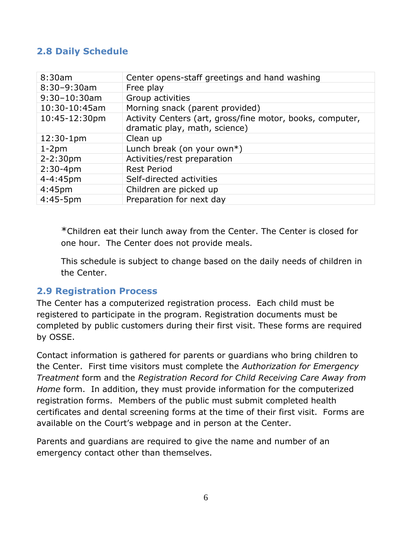#### **2.8 Daily Schedule**

| 8:30am             | Center opens-staff greetings and hand washing                                              |
|--------------------|--------------------------------------------------------------------------------------------|
| 8:30-9:30am        | Free play                                                                                  |
| $9:30 - 10:30$ am  | Group activities                                                                           |
| 10:30-10:45am      | Morning snack (parent provided)                                                            |
| 10:45-12:30pm      | Activity Centers (art, gross/fine motor, books, computer,<br>dramatic play, math, science) |
| $12:30-1pm$        | Clean up                                                                                   |
| $1-2pm$            | Lunch break (on your own*)                                                                 |
| $2 - 2:30pm$       | Activities/rest preparation                                                                |
| $2:30 - 4pm$       | <b>Rest Period</b>                                                                         |
| 4-4:45pm           | Self-directed activities                                                                   |
| 4:45 <sub>pm</sub> | Children are picked up                                                                     |
| $4:45-5$ pm        | Preparation for next day                                                                   |

\*Children eat their lunch away from the Center. The Center is closed for one hour. The Center does not provide meals.

This schedule is subject to change based on the daily needs of children in the Center.

#### <span id="page-6-0"></span>**2.9 Registration Process**

The Center has a computerized registration process. Each child must be registered to participate in the program. Registration documents must be completed by public customers during their first visit. These forms are required by OSSE.

Contact information is gathered for parents or guardians who bring children to the Center. First time visitors must complete the *Authorization for Emergency Treatment* form and the *Registration Record for Child Receiving Care Away from Home* form. In addition, they must provide information for the computerized registration forms. Members of the public must submit completed health certificates and dental screening forms at the time of their first visit. Forms are available on the Court's webpage and in person at the Center.

Parents and guardians are required to give the name and number of an emergency contact other than themselves.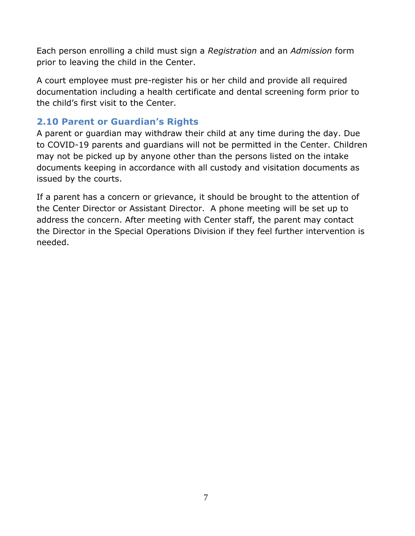Each person enrolling a child must sign a *Registration* and an *Admission* form prior to leaving the child in the Center.

A court employee must pre-register his or her child and provide all required documentation including a health certificate and dental screening form prior to the child's first visit to the Center.

#### <span id="page-7-0"></span>**2.10 Parent or Guardian's Rights**

A parent or guardian may withdraw their child at any time during the day. Due to COVID-19 parents and guardians will not be permitted in the Center. Children may not be picked up by anyone other than the persons listed on the intake documents keeping in accordance with all custody and visitation documents as issued by the courts.

If a parent has a concern or grievance, it should be brought to the attention of the Center Director or Assistant Director. A phone meeting will be set up to address the concern. After meeting with Center staff, the parent may contact the Director in the Special Operations Division if they feel further intervention is needed.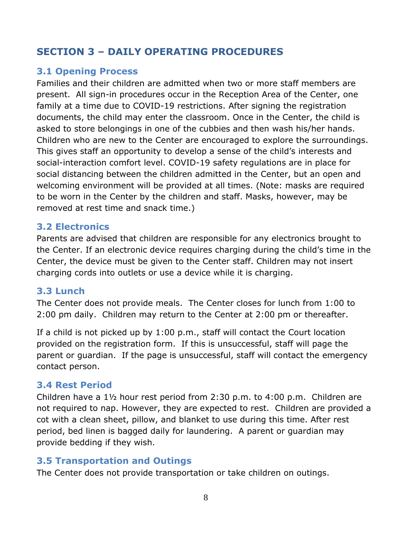# <span id="page-8-0"></span>**SECTION 3 – DAILY OPERATING PROCEDURES**

#### <span id="page-8-1"></span>**3.1 Opening Process**

Families and their children are admitted when two or more staff members are present. All sign-in procedures occur in the Reception Area of the Center, one family at a time due to COVID-19 restrictions. After signing the registration documents, the child may enter the classroom. Once in the Center, the child is asked to store belongings in one of the cubbies and then wash his/her hands. Children who are new to the Center are encouraged to explore the surroundings. This gives staff an opportunity to develop a sense of the child's interests and social-interaction comfort level. COVID-19 safety regulations are in place for social distancing between the children admitted in the Center, but an open and welcoming environment will be provided at all times. (Note: masks are required to be worn in the Center by the children and staff. Masks, however, may be removed at rest time and snack time.)

#### <span id="page-8-2"></span>**3.2 Electronics**

Parents are advised that children are responsible for any electronics brought to the Center. If an electronic device requires charging during the child's time in the Center, the device must be given to the Center staff. Children may not insert charging cords into outlets or use a device while it is charging.

#### <span id="page-8-3"></span>**3.3 Lunch**

The Center does not provide meals. The Center closes for lunch from 1:00 to 2:00 pm daily. Children may return to the Center at 2:00 pm or thereafter.

If a child is not picked up by 1:00 p.m., staff will contact the Court location provided on the registration form. If this is unsuccessful, staff will page the parent or guardian. If the page is unsuccessful, staff will contact the emergency contact person.

#### <span id="page-8-4"></span>**3.4 Rest Period**

Children have a 1½ hour rest period from 2:30 p.m. to 4:00 p.m. Children are not required to nap. However, they are expected to rest. Children are provided a cot with a clean sheet, pillow, and blanket to use during this time. After rest period, bed linen is bagged daily for laundering. A parent or guardian may provide bedding if they wish.

#### <span id="page-8-5"></span>**3.5 Transportation and Outings**

The Center does not provide transportation or take children on outings.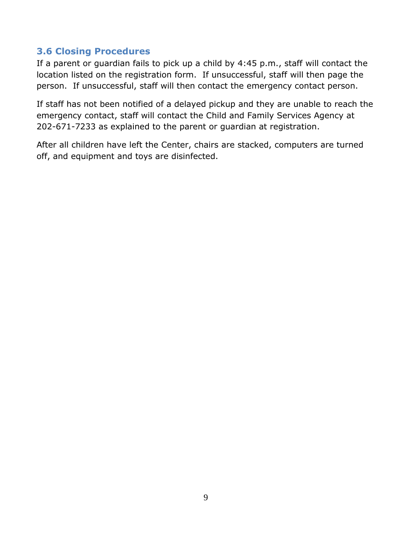#### <span id="page-9-0"></span>**3.6 Closing Procedures**

If a parent or guardian fails to pick up a child by 4:45 p.m., staff will contact the location listed on the registration form. If unsuccessful, staff will then page the person. If unsuccessful, staff will then contact the emergency contact person.

If staff has not been notified of a delayed pickup and they are unable to reach the emergency contact, staff will contact the Child and Family Services Agency at 202-671-7233 as explained to the parent or guardian at registration.

After all children have left the Center, chairs are stacked, computers are turned off, and equipment and toys are disinfected.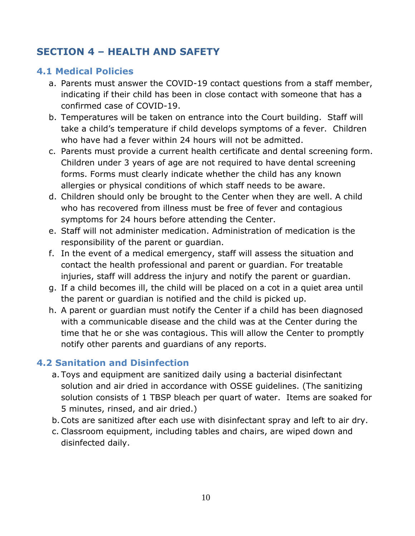# <span id="page-10-0"></span>**SECTION 4 – HEALTH AND SAFETY**

### <span id="page-10-1"></span>**4.1 Medical Policies**

- a. Parents must answer the COVID-19 contact questions from a staff member, indicating if their child has been in close contact with someone that has a confirmed case of COVID-19.
- b. Temperatures will be taken on entrance into the Court building. Staff will take a child's temperature if child develops symptoms of a fever. Children who have had a fever within 24 hours will not be admitted.
- c. Parents must provide a current health certificate and dental screening form. Children under 3 years of age are not required to have dental screening forms. Forms must clearly indicate whether the child has any known allergies or physical conditions of which staff needs to be aware.
- d. Children should only be brought to the Center when they are well. A child who has recovered from illness must be free of fever and contagious symptoms for 24 hours before attending the Center.
- e. Staff will not administer medication. Administration of medication is the responsibility of the parent or guardian.
- f. In the event of a medical emergency, staff will assess the situation and contact the health professional and parent or guardian. For treatable injuries, staff will address the injury and notify the parent or guardian.
- g. If a child becomes ill, the child will be placed on a cot in a quiet area until the parent or guardian is notified and the child is picked up.
- h. A parent or guardian must notify the Center if a child has been diagnosed with a communicable disease and the child was at the Center during the time that he or she was contagious. This will allow the Center to promptly notify other parents and guardians of any reports.

#### <span id="page-10-2"></span>**4.2 Sanitation and Disinfection**

- a. Toys and equipment are sanitized daily using a bacterial disinfectant solution and air dried in accordance with OSSE guidelines. (The sanitizing solution consists of 1 TBSP bleach per quart of water. Items are soaked for 5 minutes, rinsed, and air dried.)
- b.Cots are sanitized after each use with disinfectant spray and left to air dry.
- c. Classroom equipment, including tables and chairs, are wiped down and disinfected daily.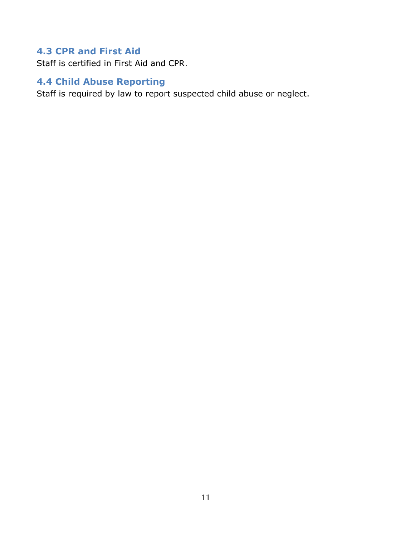# <span id="page-11-0"></span>**4.3 CPR and First Aid**

Staff is certified in First Aid and CPR.

#### <span id="page-11-1"></span>**4.4 Child Abuse Reporting**

Staff is required by law to report suspected child abuse or neglect.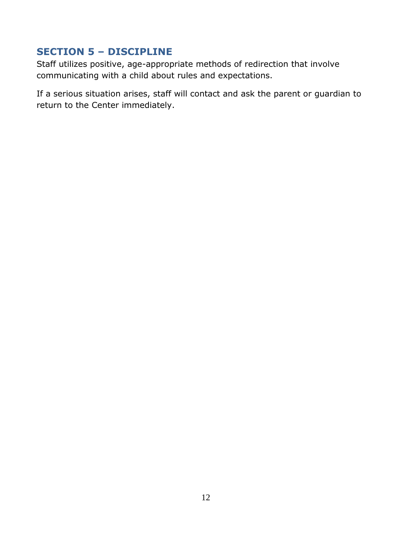# <span id="page-12-0"></span>**SECTION 5 – DISCIPLINE**

Staff utilizes positive, age-appropriate methods of redirection that involve communicating with a child about rules and expectations.

If a serious situation arises, staff will contact and ask the parent or guardian to return to the Center immediately.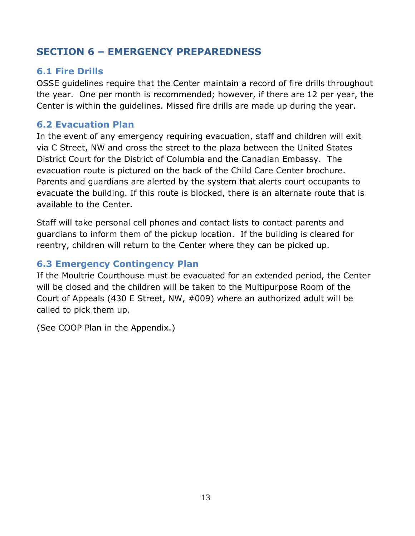# <span id="page-13-0"></span>**SECTION 6 – EMERGENCY PREPAREDNESS**

#### <span id="page-13-1"></span>**6.1 Fire Drills**

OSSE guidelines require that the Center maintain a record of fire drills throughout the year. One per month is recommended; however, if there are 12 per year, the Center is within the guidelines. Missed fire drills are made up during the year.

#### <span id="page-13-2"></span>**6.2 Evacuation Plan**

In the event of any emergency requiring evacuation, staff and children will exit via C Street, NW and cross the street to the plaza between the United States District Court for the District of Columbia and the Canadian Embassy. The evacuation route is pictured on the back of the Child Care Center brochure. Parents and guardians are alerted by the system that alerts court occupants to evacuate the building. If this route is blocked, there is an alternate route that is available to the Center.

Staff will take personal cell phones and contact lists to contact parents and guardians to inform them of the pickup location. If the building is cleared for reentry, children will return to the Center where they can be picked up.

#### <span id="page-13-3"></span>**6.3 Emergency Contingency Plan**

If the Moultrie Courthouse must be evacuated for an extended period, the Center will be closed and the children will be taken to the Multipurpose Room of the Court of Appeals (430 E Street, NW, #009) where an authorized adult will be called to pick them up.

(See COOP Plan in the Appendix.)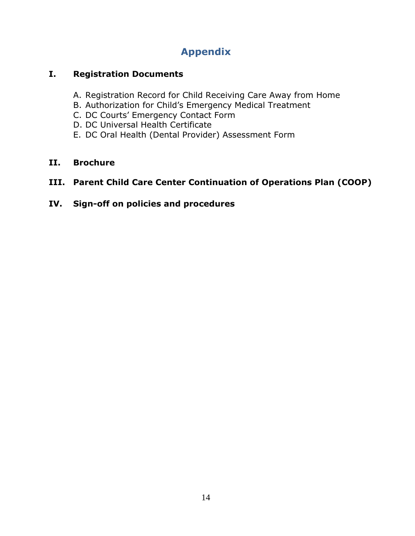# **Appendix**

#### <span id="page-14-0"></span>**I. Registration Documents**

- A. Registration Record for Child Receiving Care Away from Home
- B. Authorization for Child's Emergency Medical Treatment
- C. DC Courts' Emergency Contact Form
- D. DC Universal Health Certificate
- E. DC Oral Health (Dental Provider) Assessment Form

#### **II. Brochure**

#### **III. Parent Child Care Center Continuation of Operations Plan (COOP)**

**IV. Sign-off on policies and procedures**